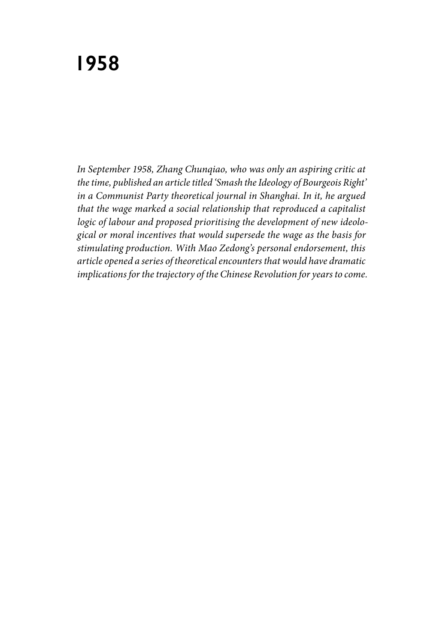*In September 1958, Zhang Chunqiao, who was only an aspiring critic at the time, published an article titled 'Smash the Ideology of Bourgeois Right' in a Communist Party theoretical journal in Shanghai. In it, he argued that the wage marked a social relationship that reproduced a capitalist logic of labour and proposed prioritising the development of new ideological or moral incentives that would supersede the wage as the basis for stimulating production. With Mao Zedong's personal endorsement, this article opened a series of theoretical encounters that would have dramatic implications for the trajectory of the Chinese Revolution for years to come.*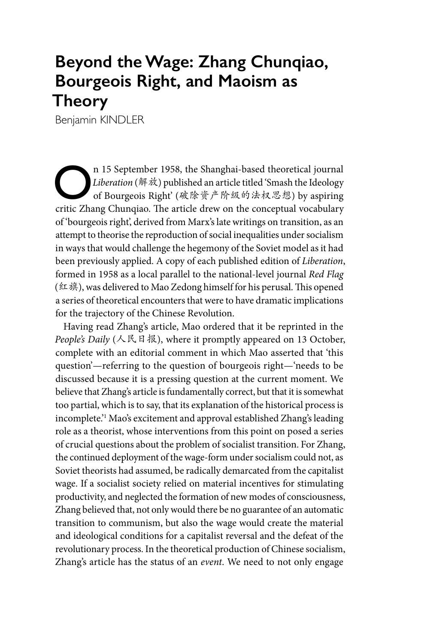## **Beyond the Wage: Zhang Chunqiao, Bourgeois Right, and Maoism as Theory**

Benjamin KINDLER

**O**n 15 September 1958, the Shanghai-based theoretical journal<br> *Liberation* (解放) published an article titled 'Smash the Ideology<br>
of Bourgeois Right' (破除资产阶级的法权思想) by aspiring<br>
critic Zhang Chunaise. The article draw on *Liberation* (解放) published an article titled 'Smash the Ideology critic Zhang Chunqiao. The article drew on the conceptual vocabulary of 'bourgeois right', derived from Marx's late writings on transition, as an attempt to theorise the reproduction of social inequalities under socialism in ways that would challenge the hegemony of the Soviet model as it had been previously applied. A copy of each published edition of *Liberation*, formed in 1958 as a local parallel to the national-level journal *Red Flag* (红旗), was delivered to Mao Zedong himself for his perusal. This opened a series of theoretical encounters that were to have dramatic implications for the trajectory of the Chinese Revolution.

Having read Zhang's article, Mao ordered that it be reprinted in the *People's Daily* (人民日报), where it promptly appeared on 13 October, complete with an editorial comment in which Mao asserted that 'this question'—referring to the question of bourgeois right—'needs to be discussed because it is a pressing question at the current moment. We believe that Zhang's article is fundamentally correct, but that it is somewhat too partial, which is to say, that its explanation of the historical process is incomplete.'1 Mao's excitement and approval established Zhang's leading role as a theorist, whose interventions from this point on posed a series of crucial questions about the problem of socialist transition. For Zhang, the continued deployment of the wage-form under socialism could not, as Soviet theorists had assumed, be radically demarcated from the capitalist wage. If a socialist society relied on material incentives for stimulating productivity, and neglected the formation of new modes of consciousness, Zhang believed that, not only would there be no guarantee of an automatic transition to communism, but also the wage would create the material and ideological conditions for a capitalist reversal and the defeat of the revolutionary process. In the theoretical production of Chinese socialism, Zhang's article has the status of an *event*. We need to not only engage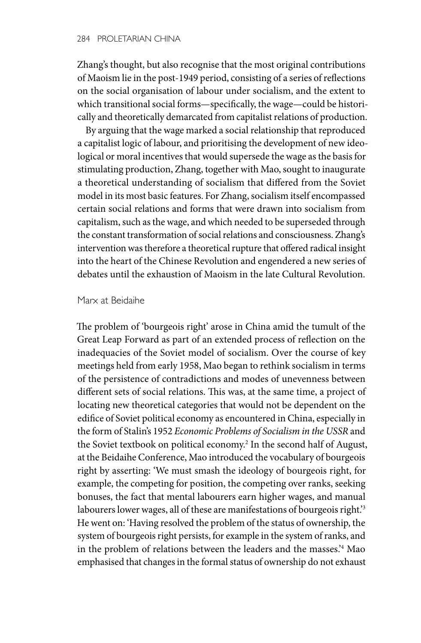Zhang's thought, but also recognise that the most original contributions of Maoism lie in the post-1949 period, consisting of a series of reflections on the social organisation of labour under socialism, and the extent to which transitional social forms—specifically, the wage—could be historically and theoretically demarcated from capitalist relations of production.

By arguing that the wage marked a social relationship that reproduced a capitalist logic of labour, and prioritising the development of new ideological or moral incentives that would supersede the wage as the basis for stimulating production, Zhang, together with Mao, sought to inaugurate a theoretical understanding of socialism that differed from the Soviet model in its most basic features. For Zhang, socialism itself encompassed certain social relations and forms that were drawn into socialism from capitalism, such as the wage, and which needed to be superseded through the constant transformation of social relations and consciousness. Zhang's intervention was therefore a theoretical rupture that offered radical insight into the heart of the Chinese Revolution and engendered a new series of debates until the exhaustion of Maoism in the late Cultural Revolution.

## Marx at Beidaihe

The problem of 'bourgeois right' arose in China amid the tumult of the Great Leap Forward as part of an extended process of reflection on the inadequacies of the Soviet model of socialism. Over the course of key meetings held from early 1958, Mao began to rethink socialism in terms of the persistence of contradictions and modes of unevenness between different sets of social relations. This was, at the same time, a project of locating new theoretical categories that would not be dependent on the edifice of Soviet political economy as encountered in China, especially in the form of Stalin's 1952 *Economic Problems of Socialism in the USSR* and the Soviet textbook on political economy.<sup>2</sup> In the second half of August, at the Beidaihe Conference, Mao introduced the vocabulary of bourgeois right by asserting: 'We must smash the ideology of bourgeois right, for example, the competing for position, the competing over ranks, seeking bonuses, the fact that mental labourers earn higher wages, and manual labourers lower wages, all of these are manifestations of bourgeois right.<sup>3</sup> He went on: 'Having resolved the problem of the status of ownership, the system of bourgeois right persists, for example in the system of ranks, and in the problem of relations between the leaders and the masses.'4 Mao emphasised that changes in the formal status of ownership do not exhaust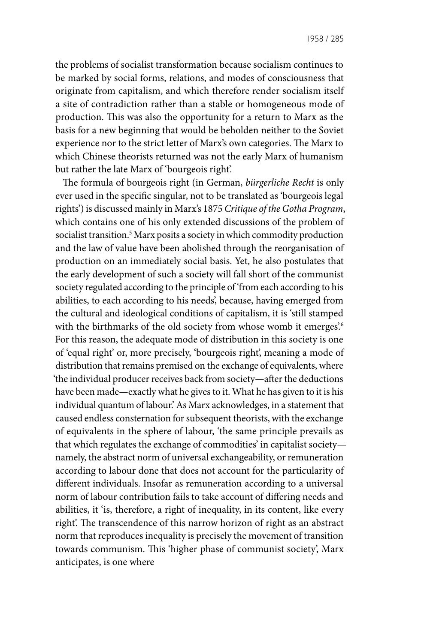the problems of socialist transformation because socialism continues to be marked by social forms, relations, and modes of consciousness that originate from capitalism, and which therefore render socialism itself a site of contradiction rather than a stable or homogeneous mode of production. This was also the opportunity for a return to Marx as the basis for a new beginning that would be beholden neither to the Soviet experience nor to the strict letter of Marx's own categories. The Marx to which Chinese theorists returned was not the early Marx of humanism but rather the late Marx of 'bourgeois right'.

The formula of bourgeois right (in German, *bürgerliche Recht* is only ever used in the specific singular, not to be translated as 'bourgeois legal rights') is discussed mainly in Marx's 1875 *Critique of the Gotha Program*, which contains one of his only extended discussions of the problem of socialist transition.5 Marx posits a society in which commodity production and the law of value have been abolished through the reorganisation of production on an immediately social basis. Yet, he also postulates that the early development of such a society will fall short of the communist society regulated according to the principle of 'from each according to his abilities, to each according to his needs', because, having emerged from the cultural and ideological conditions of capitalism, it is 'still stamped with the birthmarks of the old society from whose womb it emerges.<sup>6</sup> For this reason, the adequate mode of distribution in this society is one of 'equal right' or, more precisely, 'bourgeois right', meaning a mode of distribution that remains premised on the exchange of equivalents, where 'the individual producer receives back from society—after the deductions have been made—exactly what he gives to it. What he has given to it is his individual quantum of labour.' As Marx acknowledges, in a statement that caused endless consternation for subsequent theorists, with the exchange of equivalents in the sphere of labour, 'the same principle prevails as that which regulates the exchange of commodities' in capitalist society namely, the abstract norm of universal exchangeability, or remuneration according to labour done that does not account for the particularity of different individuals. Insofar as remuneration according to a universal norm of labour contribution fails to take account of differing needs and abilities, it 'is, therefore, a right of inequality, in its content, like every right'. The transcendence of this narrow horizon of right as an abstract norm that reproduces inequality is precisely the movement of transition towards communism. This 'higher phase of communist society', Marx anticipates, is one where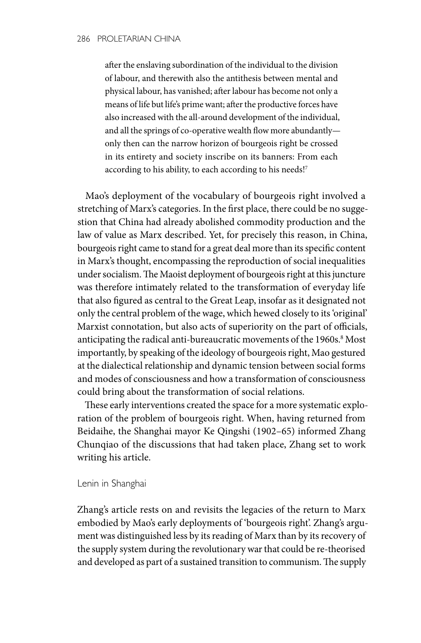after the enslaving subordination of the individual to the division of labour, and therewith also the antithesis between mental and physical labour, has vanished; after labour has become not only a means of life but life's prime want; after the productive forces have also increased with the all-around development of the individual, and all the springs of co-operative wealth flow more abundantly only then can the narrow horizon of bourgeois right be crossed in its entirety and society inscribe on its banners: From each according to his ability, to each according to his needs!<sup>7</sup>

Mao's deployment of the vocabulary of bourgeois right involved a stretching of Marx's categories. In the first place, there could be no suggestion that China had already abolished commodity production and the law of value as Marx described. Yet, for precisely this reason, in China, bourgeois right came to stand for a great deal more than its specific content in Marx's thought, encompassing the reproduction of social inequalities under socialism. The Maoist deployment of bourgeois right at this juncture was therefore intimately related to the transformation of everyday life that also figured as central to the Great Leap, insofar as it designated not only the central problem of the wage, which hewed closely to its 'original' Marxist connotation, but also acts of superiority on the part of officials, anticipating the radical anti-bureaucratic movements of the 1960s.<sup>8</sup> Most importantly, by speaking of the ideology of bourgeois right, Mao gestured at the dialectical relationship and dynamic tension between social forms and modes of consciousness and how a transformation of consciousness could bring about the transformation of social relations.

These early interventions created the space for a more systematic exploration of the problem of bourgeois right. When, having returned from Beidaihe, the Shanghai mayor Ke Qingshi (1902–65) informed Zhang Chunqiao of the discussions that had taken place, Zhang set to work writing his article.

Lenin in Shanghai

Zhang's article rests on and revisits the legacies of the return to Marx embodied by Mao's early deployments of 'bourgeois right'. Zhang's argument was distinguished less by its reading of Marx than by its recovery of the supply system during the revolutionary war that could be re-theorised and developed as part of a sustained transition to communism. The supply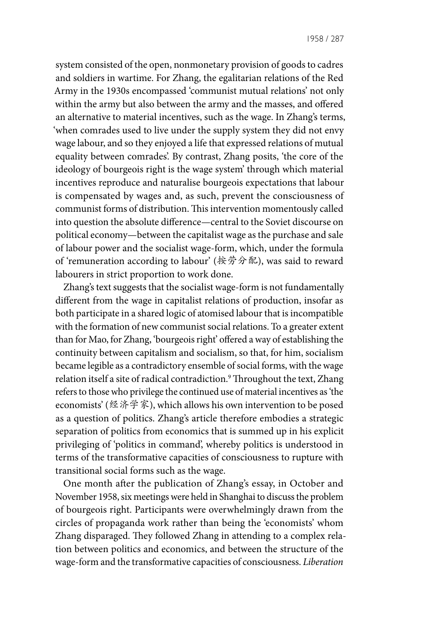system consisted of the open, nonmonetary provision of goods to cadres and soldiers in wartime. For Zhang, the egalitarian relations of the Red Army in the 1930s encompassed 'communist mutual relations' not only within the army but also between the army and the masses, and offered an alternative to material incentives, such as the wage. In Zhang's terms, 'when comrades used to live under the supply system they did not envy wage labour, and so they enjoyed a life that expressed relations of mutual equality between comrades'. By contrast, Zhang posits, 'the core of the ideology of bourgeois right is the wage system' through which material incentives reproduce and naturalise bourgeois expectations that labour is compensated by wages and, as such, prevent the consciousness of communist forms of distribution. This intervention momentously called into question the absolute difference—central to the Soviet discourse on political economy—between the capitalist wage as the purchase and sale of labour power and the socialist wage-form, which, under the formula of 'remuneration according to labour' (按劳分配), was said to reward labourers in strict proportion to work done.

Zhang's text suggests that the socialist wage-form is not fundamentally different from the wage in capitalist relations of production, insofar as both participate in a shared logic of atomised labour that is incompatible with the formation of new communist social relations. To a greater extent than for Mao, for Zhang, 'bourgeois right' offered a way of establishing the continuity between capitalism and socialism, so that, for him, socialism became legible as a contradictory ensemble of social forms, with the wage relation itself a site of radical contradiction.<sup>9</sup> Throughout the text, Zhang refers to those who privilege the continued use of material incentives as 'the economists' (经济学家), which allows his own intervention to be posed as a question of politics. Zhang's article therefore embodies a strategic separation of politics from economics that is summed up in his explicit privileging of 'politics in command', whereby politics is understood in terms of the transformative capacities of consciousness to rupture with transitional social forms such as the wage.

One month after the publication of Zhang's essay, in October and November 1958, six meetings were held in Shanghai to discuss the problem of bourgeois right. Participants were overwhelmingly drawn from the circles of propaganda work rather than being the 'economists' whom Zhang disparaged. They followed Zhang in attending to a complex relation between politics and economics, and between the structure of the wage-form and the transformative capacities of consciousness. *Liberation*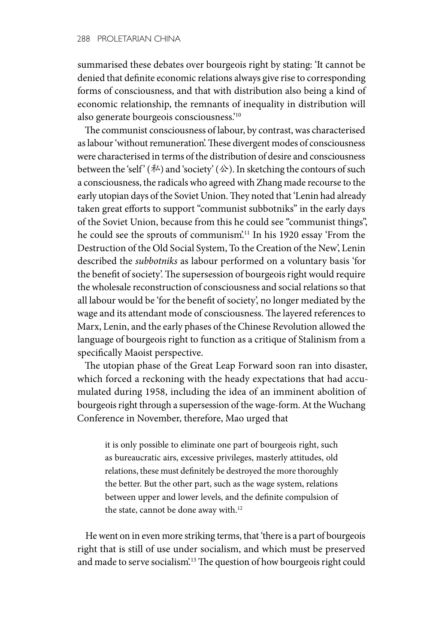summarised these debates over bourgeois right by stating: 'It cannot be denied that definite economic relations always give rise to corresponding forms of consciousness, and that with distribution also being a kind of economic relationship, the remnants of inequality in distribution will also generate bourgeois consciousness.'10

The communist consciousness of labour, by contrast, was characterised as labour 'without remuneration'. These divergent modes of consciousness were characterised in terms of the distribution of desire and consciousness between the 'self' ( $\neq$ ) and 'society' ( $\triangle$ ). In sketching the contours of such a consciousness, the radicals who agreed with Zhang made recourse to the early utopian days of the Soviet Union. They noted that 'Lenin had already taken great efforts to support "communist subbotniks" in the early days of the Soviet Union, because from this he could see "communist things", he could see the sprouts of communism'.<sup>11</sup> In his 1920 essay 'From the Destruction of the Old Social System, To the Creation of the New', Lenin described the *subbotniks* as labour performed on a voluntary basis 'for the benefit of society'. The supersession of bourgeois right would require the wholesale reconstruction of consciousness and social relations so that all labour would be 'for the benefit of society', no longer mediated by the wage and its attendant mode of consciousness. The layered references to Marx, Lenin, and the early phases of the Chinese Revolution allowed the language of bourgeois right to function as a critique of Stalinism from a specifically Maoist perspective.

The utopian phase of the Great Leap Forward soon ran into disaster, which forced a reckoning with the heady expectations that had accumulated during 1958, including the idea of an imminent abolition of bourgeois right through a supersession of the wage-form. At the Wuchang Conference in November, therefore, Mao urged that

it is only possible to eliminate one part of bourgeois right, such as bureaucratic airs, excessive privileges, masterly attitudes, old relations, these must definitely be destroyed the more thoroughly the better. But the other part, such as the wage system, relations between upper and lower levels, and the definite compulsion of the state, cannot be done away with.<sup>12</sup>

He went on in even more striking terms, that 'there is a part of bourgeois right that is still of use under socialism, and which must be preserved and made to serve socialism<sup>'13</sup> The question of how bourgeois right could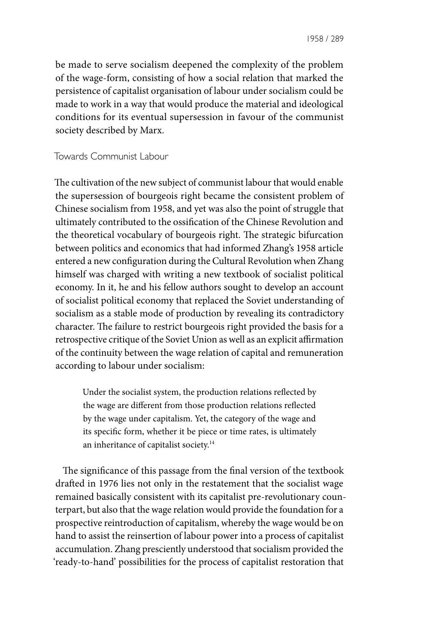be made to serve socialism deepened the complexity of the problem of the wage-form, consisting of how a social relation that marked the persistence of capitalist organisation of labour under socialism could be made to work in a way that would produce the material and ideological conditions for its eventual supersession in favour of the communist society described by Marx.

Towards Communist Labour

The cultivation of the new subject of communist labour that would enable the supersession of bourgeois right became the consistent problem of Chinese socialism from 1958, and yet was also the point of struggle that ultimately contributed to the ossification of the Chinese Revolution and the theoretical vocabulary of bourgeois right. The strategic bifurcation between politics and economics that had informed Zhang's 1958 article entered a new configuration during the Cultural Revolution when Zhang himself was charged with writing a new textbook of socialist political economy. In it, he and his fellow authors sought to develop an account of socialist political economy that replaced the Soviet understanding of socialism as a stable mode of production by revealing its contradictory character. The failure to restrict bourgeois right provided the basis for a retrospective critique of the Soviet Union as well as an explicit affirmation of the continuity between the wage relation of capital and remuneration according to labour under socialism:

Under the socialist system, the production relations reflected by the wage are different from those production relations reflected by the wage under capitalism. Yet, the category of the wage and its specific form, whether it be piece or time rates, is ultimately an inheritance of capitalist society.14

The significance of this passage from the final version of the textbook drafted in 1976 lies not only in the restatement that the socialist wage remained basically consistent with its capitalist pre-revolutionary counterpart, but also that the wage relation would provide the foundation for a prospective reintroduction of capitalism, whereby the wage would be on hand to assist the reinsertion of labour power into a process of capitalist accumulation. Zhang presciently understood that socialism provided the 'ready-to-hand' possibilities for the process of capitalist restoration that